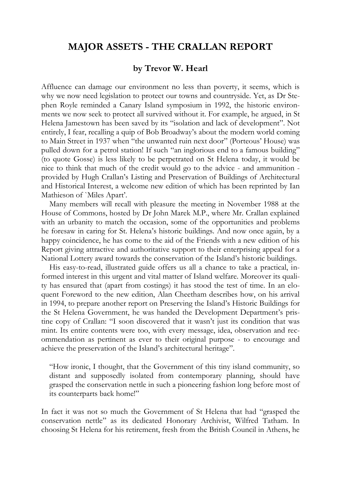## **MAJOR ASSETS - THE CRALLAN REPORT**

## **by Trevor W. Hearl**

Affluence can damage our environment no less than poverty, it seems, which is why we now need legislation to protect our towns and countryside. Yet, as Dr Stephen Royle reminded a Canary Island symposium in 1992, the historic environments we now seek to protect all survived without it. For example, he argued, in St Helena Jamestown has been saved by its "isolation and lack of development". Not entirely, I fear, recalling a quip of Bob Broadway's about the modern world coming to Main Street in 1937 when "the unwanted ruin next door" (Porteous' House) was pulled down for a petrol station! If such "an inglorious end to a famous building" (to quote Gosse) is less likely to be perpetrated on St Helena today, it would be nice to think that much of the credit would go to the advice - and ammunition provided by Hugh Crallan's Listing and Preservation of Buildings of Architectural and Historical Interest, a welcome new edition of which has been reprinted by Ian Mathieson of `Miles Apart'.

Many members will recall with pleasure the meeting in November 1988 at the House of Commons, hosted by Dr John Marek M.P., where Mr. Crallan explained with an urbanity to match the occasion, some of the opportunities and problems he foresaw in caring for St. Helena's historic buildings. And now once again, by a happy coincidence, he has come to the aid of the Friends with a new edition of his Report giving attractive and authoritative support to their enterprising appeal for a National Lottery award towards the conservation of the Island's historic buildings.

His easy-to-read, illustrated guide offers us all a chance to take a practical, informed interest in this urgent and vital matter of Island welfare. Moreover its quality has ensured that (apart from costings) it has stood the test of time. In an eloquent Foreword to the new edition, Alan Cheetham describes how, on his arrival in 1994, to prepare another report on Preserving the Island's Historic Buildings for the St Helena Government, he was handed the Development Department's pristine copy of Crallan: "I soon discovered that it wasn't just its condition that was mint. Its entire contents were too, with every message, idea, observation and recommendation as pertinent as ever to their original purpose - to encourage and achieve the preservation of the Island's architectural heritage".

"How ironic, I thought, that the Government of this tiny island community, so distant and supposedly isolated from contemporary planning, should have grasped the conservation nettle in such a pioneering fashion long before most of its counterparts back home!"

In fact it was not so much the Government of St Helena that had "grasped the conservation nettle" as its dedicated Honorary Archivist, Wilfred Tatham. In choosing St Helena for his retirement, fresh from the British Council in Athens, he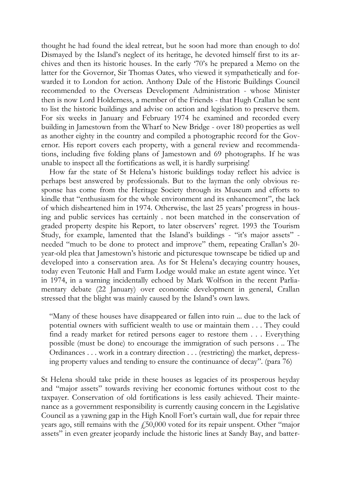thought he had found the ideal retreat, but he soon had more than enough to do! Dismayed by the Island's neglect of its heritage, he devoted himself first to its archives and then its historic houses. In the early '70's he prepared a Memo on the latter for the Governor, Sir Thomas Oates, who viewed it sympathetically and forwarded it to London for action. Anthony Dale of the Historic Buildings Council recommended to the Overseas Development Administration - whose Minister then is now Lord Holderness, a member of the Friends - that Hugh Crallan be sent to list the historic buildings and advise on action and legislation to preserve them. For six weeks in January and February 1974 he examined and recorded every building in Jamestown from the Wharf to New Bridge - over 180 properties as well as another eighty in the country and compiled a photographic record for the Governor. His report covers each property, with a general review and recommendations, including five folding plans of Jamestown and 69 photographs. If he was unable to inspect all the fortifications as well, it is hardly surprising!

How far the state of St Helena's historic buildings today reflect his advice is perhaps best answered by professionals. But to the layman the only obvious response has come from the Heritage Society through its Museum and efforts to kindle that "enthusiasm for the whole environment and its enhancement", the lack of which disheartened him in 1974. Otherwise, the last 25 years' progress in housing and public services has certainly . not been matched in the conservation of graded property despite his Report, to later observers' regret. 1993 the Tourism Study, for example, lamented that the Island's buildings - "it's major assets" needed "much to be done to protect and improve" them, repeating Crallan's 20 year-old plea that Jamestown's historic and picturesque townscape be tidied up and developed into a conservation area. As for St Helena's decaying country houses, today even Teutonic Hall and Farm Lodge would make an estate agent wince. Yet in 1974, in a warning incidentally echoed by Mark Wolfson in the recent Parliamentary debate (22 January) over economic development in general, Crallan stressed that the blight was mainly caused by the Island's own laws.

"Many of these houses have disappeared or fallen into ruin ... due to the lack of potential owners with sufficient wealth to use or maintain them . . . They could find a ready market for retired persons eager to restore them . . . Everything possible (must be done) to encourage the immigration of such persons . .. The Ordinances . . . work in a contrary direction . . . (restricting) the market, depressing property values and tending to ensure the continuance of decay". (para 76)

St Helena should take pride in these houses as legacies of its prosperous heyday and "major assets" towards reviving her economic fortunes without cost to the taxpayer. Conservation of old fortifications is less easily achieved. Their maintenance as a government responsibility is currently causing concern in the Legislative Council as a yawning gap in the High Knoll Fort's curtain wall, due for repair three years ago, still remains with the  $f_{150,000}$  voted for its repair unspent. Other "major assets" in even greater jeopardy include the historic lines at Sandy Bay, and batter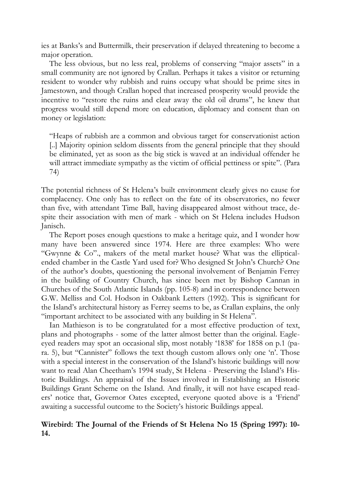ies at Banks's and Buttermilk, their preservation if delayed threatening to become a major operation.

The less obvious, but no less real, problems of conserving "major assets" in a small community are not ignored by Crallan. Perhaps it takes a visitor or returning resident to wonder why rubbish and ruins occupy what should be prime sites in Jamestown, and though Crallan hoped that increased prosperity would provide the incentive to "restore the ruins and clear away the old oil drums", he knew that progress would still depend more on education, diplomacy and consent than on money or legislation:

"Heaps of rubbish are a common and obvious target for conservationist action [..] Majority opinion seldom dissents from the general principle that they should be eliminated, yet as soon as the big stick is waved at an individual offender he will attract immediate sympathy as the victim of official pettiness or spite". (Para 74)

The potential richness of St Helena's built environment clearly gives no cause for complacency. One only has to reflect on the fate of its observatories, no fewer than five, with attendant Time Ball, having disappeared almost without trace, despite their association with men of mark - which on St Helena includes Hudson Janisch.

The Report poses enough questions to make a heritage quiz, and I wonder how many have been answered since 1974. Here are three examples: Who were "Gwynne & Co"., makers of the metal market house? What was the ellipticalended chamber in the Castle Yard used for? Who designed St John's Church? One of the author's doubts, questioning the personal involvement of Benjamin Ferrey in the building of Country Church, has since been met by Bishop Cannan in Churches of the South Atlantic Islands (pp. 105-8) and in correspondence between G.W. Melliss and Col. Hodson in Oakbank Letters (1992). This is significant for the Island's architectural history as Ferrey seems to be, as Crallan explains, the only "important architect to be associated with any building in St Helena".

Ian Mathieson is to be congratulated for a most effective production of text, plans and photographs - some of the latter almost better than the original. Eagleeyed readers may spot an occasional slip, most notably '1838' for 1858 on p.1 (para. 5), but "Cannister" follows the text though custom allows only one 'n'. Those with a special interest in the conservation of the Island's historic buildings will now want to read Alan Cheetham's 1994 study, St Helena - Preserving the Island's Historic Buildings. An appraisal of the Issues involved in Establishing an Historic Buildings Grant Scheme on the Island. And finally, it will not have escaped readers' notice that, Governor Oates excepted, everyone quoted above is a 'Friend' awaiting a successful outcome to the Society's historic Buildings appeal.

## **Wirebird: The Journal of the Friends of St Helena No 15 (Spring 1997): 10- 14.**